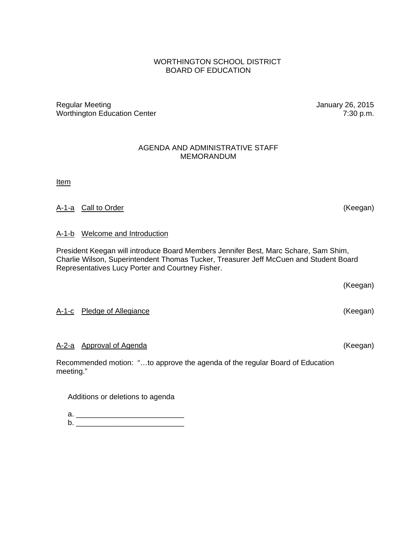### WORTHINGTON SCHOOL DISTRICT BOARD OF EDUCATION

Regular Meeting **Network** Channels Controller Meeting **January 26, 2015** Worthington Education Center 7:30 p.m.

#### AGENDA AND ADMINISTRATIVE STAFF MEMORANDUM

**Item** 

### A-1-a Call to Order (Keegan)

#### A-1-b Welcome and Introduction

President Keegan will introduce Board Members Jennifer Best, Marc Schare, Sam Shim, Charlie Wilson, Superintendent Thomas Tucker, Treasurer Jeff McCuen and Student Board Representatives Lucy Porter and Courtney Fisher.

(Keegan)

### A-1-c Pledge of Allegiance (Keegan)

### A-2-a Approval of Agenda (Keegan)

Recommended motion: "…to approve the agenda of the regular Board of Education meeting."

Additions or deletions to agenda

 a. \_\_\_\_\_\_\_\_\_\_\_\_\_\_\_\_\_\_\_\_\_\_\_\_\_\_  $b.$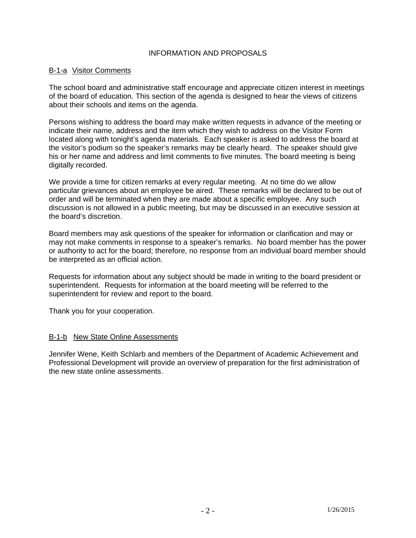#### INFORMATION AND PROPOSALS

#### B-1-a Visitor Comments

The school board and administrative staff encourage and appreciate citizen interest in meetings of the board of education. This section of the agenda is designed to hear the views of citizens about their schools and items on the agenda.

Persons wishing to address the board may make written requests in advance of the meeting or indicate their name, address and the item which they wish to address on the Visitor Form located along with tonight's agenda materials. Each speaker is asked to address the board at the visitor's podium so the speaker's remarks may be clearly heard. The speaker should give his or her name and address and limit comments to five minutes. The board meeting is being digitally recorded.

We provide a time for citizen remarks at every regular meeting. At no time do we allow particular grievances about an employee be aired. These remarks will be declared to be out of order and will be terminated when they are made about a specific employee. Any such discussion is not allowed in a public meeting, but may be discussed in an executive session at the board's discretion.

Board members may ask questions of the speaker for information or clarification and may or may not make comments in response to a speaker's remarks. No board member has the power or authority to act for the board; therefore, no response from an individual board member should be interpreted as an official action.

Requests for information about any subject should be made in writing to the board president or superintendent. Requests for information at the board meeting will be referred to the superintendent for review and report to the board.

Thank you for your cooperation.

#### B-1-b New State Online Assessments

Jennifer Wene, Keith Schlarb and members of the Department of Academic Achievement and Professional Development will provide an overview of preparation for the first administration of the new state online assessments.